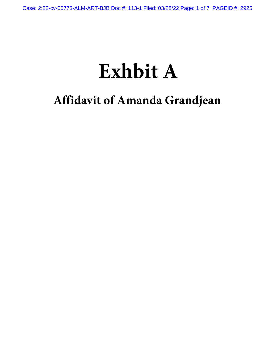# **Exhbit A**

## **Affidavit of Amanda Grandjean**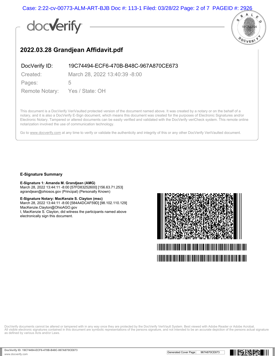Case: 2:22-cv-00773-ALM-ART-BJB Doc #: 113-1 Filed: 03/28/22 Page: 2 of 7 PAGEID #: 2926

## docverify



### **2022.03.28 Grandjean Affidavit.pdf**

DocVerify ID: 19C74494-ECF6-470B-B48C-967A870CE673

Created: March 28, 2022 13:40:39 -8:00

Pages: 5

Remote Notary: Yes / State: OH

This document is a DocVerify VeriVaulted protected version of the document named above. It was created by a notary or on the behalf of a notary, and it is also a DocVerify E-Sign document, which means this document was created for the purposes of Electronic Signatures and/or Electronic Notary. Tampered or altered documents can be easily verified and validated with the DocVerify veriCheck system. This remote online notarization involved the use of communication technology.

Go to www.docverify.com at any time to verify or validate the authenticity and integrity of this or any other DocVerify VeriVaulted document.

#### **E-Signature Summary**

#### **E-Signature 1: Amanda M. Grandjean (AMG)**

March 28, 2022 13:44:11 -8:00 [57FD83252600] [156.63.71.253] agrandjean@ohiosos.gov (Principal) (Personally Known)

#### **E-Signature Notary: MacKenzie S. Clayton (msc)**

March 28, 2022 13:44:11 -8:00 [584A4DCAF59D] [98.102.110.129] MacKenzie.Clayton@OhioAGO.gov

I, MacKenzie S. Clayton, did witness the participants named above electronically sign this document.



DocVerify documents cannot be altered or tampered with in any way once they are protected by the DocVerify VeriVault System. Best viewed with Adobe Reader or Adobe Acrobat. All visible electronic signatures contained in this document are symbolic representations of the persons signature, and not intended to be an accurate depiction of the persons actual signature as defined by various Acts and/or Laws.

**ING REPORT**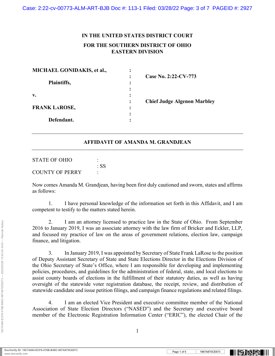### **IN THE UNITED STATES DISTRICT COURT FOR THE SOUTHERN DISTRICT OF OHIO EASTERN DIVISION**

| MICHAEL GONIDAKIS, et al., |                                    |  |
|----------------------------|------------------------------------|--|
| Plaintiffs,                | Case No. 2:22-CV-773               |  |
| v.                         |                                    |  |
| <b>FRANK LAROSE,</b>       | <b>Chief Judge Algenon Marbley</b> |  |
| Defendant.                 |                                    |  |

#### **AFFIDAVIT OF AMANDA M. GRANDJEAN**

| STATE OF OHIO          |      |
|------------------------|------|
|                        | : SS |
| <b>COUNTY OF PERRY</b> |      |

Now comes Amanda M. Grandjean, having been first duly cautioned and sworn, states and affirms as follows:

1. I have personal knowledge of the information set forth in this Affidavit, and I am competent to testify to the matters stated herein.

2. I am an attorney licensed to practice law in the State of Ohio. From September 2016 to January 2019, I was an associate attorney with the law firm of Bricker and Eckler, LLP, and focused my practice of law on the areas of government relations, election law, campaign finance, and litigation.

3. In January 2019, I was appointed by Secretary of State Frank LaRose to the position of Deputy Assistant Secretary of State and State Elections Director in the Elections Division of the Ohio Secretary of State's Office, where I am responsible for developing and implementing policies, procedures, and guidelines for the administration of federal, state, and local elections to assist county boards of elections in the fulfillment of their statutory duties, as well as having oversight of the statewide voter registration database, the receipt, review, and distribution of statewide candidate and issue petition filings, and campaign finance regulations and related filings.

4. I am an elected Vice President and executive committee member of the National Association of State Election Directors ("NASED") and the Secretary and executive board member of the Electronic Registration Information Center ("ERIC"), the elected Chair of the

19C74494-ECF6-470B-B48C-967A870CE673 --- 2022/03/28 13:40:39 -8:00 --- Remote Notary

19C74494-ECF6-470B-B48C-967A870CE673 --- 2022/03/28 13:40:39 -8:00 --- Remote Notary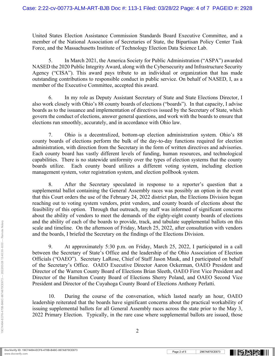United States Election Assistance Commission Standards Board Executive Committee, and a member of the National Association of Secretaries of State, the Bipartisan Policy Center Task Force, and the Massachusetts Institute of Technology Election Data Science Lab.

5. In March 2021, the America Society for Public Administration ("ASPA") awarded NASED the 2020 Public Integrity Award, along with the Cybersecurity and Infrastructure Security Agency ("CISA"). This award pays tribute to an individual or organization that has made outstanding contributions to responsible conduct in public service. On behalf of NASED, I, as a member of the Executive Committee, accepted this award.

6. In my role as Deputy Assistant Secretary of State and State Elections Director, I also work closely with Ohio's 88 county boards of elections ("boards"). In that capacity, I advise boards as to the issuance and implementation of directives issued by the Secretary of State, which govern the conduct of elections, answer general questions, and work with the boards to ensure that elections run smoothly, accurately, and in accordance with Ohio law.

7. Ohio is a decentralized, bottom-up election administration system. Ohio's 88 county boards of elections perform the bulk of the day-to-day functions required for election administration, with direction from the Secretary in the form of written directives and advisories. Each county board has vastly different levels of funding, human resources, and technological capabilities. There is no statewide uniformity over the types of election systems that the county boards utilize. Each county board utilizes a different voting system, including election management system, voter registration system, and election pollbook system.

8. After the Secretary speculated in response to a reporter's question that a supplemental ballot containing the General Assembly races was possibly an option in the event that this Court orders the use of the February 24, 2022 district plan, the Elections Division began reaching out to voting system vendors, print vendors, and county boards of elections about the feasibility of this option. Through that outreach, my staff was informed of significant concerns about the ability of vendors to meet the demands of the eighty-eight county boards of elections and the ability of each of the boards to provide, track, and tabulate supplemental ballots on this scale and timeline. On the afternoon of Friday, March 25, 2022, after consultation with vendors and the boards, I briefed the Secretary on the findings of the Elections Division.

9. At approximately 5:30 p.m. on Friday, March 25, 2022, I participated in a call between the Secretary of State's Office and the leadership of the Ohio Association of Election Officials ("OAEO"). Secretary LaRose, Chief of Staff Jason Mauk, and I participated on behalf of the Secretary's Office. OAEO Executive Director Aaron Ockerman, OAEO President and Director of the Warren County Board of Elections Brian Sleeth, OAEO First Vice President and Director of the Hamilton County Board of Elections Sherry Poland, and OAEO Second Vice President and Director of the Cuyahoga County Board of Elections Anthony Perlatti.

10. During the course of the conversation, which lasted nearly an hour, OAEO leadership reiterated that the boards have significant concerns about the practical workability of issuing supplemental ballots for all General Assembly races across the state prior to the May 3, 2022 Primary Election. Typically, in the rare case where supplemental ballots are issued, those

2

19C74494-ECF6-470B-B48C-967A870CE673 --- 2022/03/28 13:40:39 -8:00 --- Remote Notary

19C74494-ECF6-470B-B48C-967A870CE673 --- 2022/03/28 13:40:39 -8:00 --- Remote Notary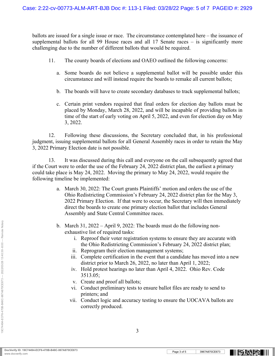ballots are issued for a single issue or race. The circumstance contemplated here – the issuance of supplemental ballots for all 99 House races and all 17 Senate races – is significantly more challenging due to the number of different ballots that would be required.

- 11. The county boards of elections and OAEO outlined the following concerns:
	- a. Some boards do not believe a supplemental ballot will be possible under this circumstance and will instead require the boards to remake all current ballots;
	- b. The boards will have to create secondary databases to track supplemental ballots;
	- c. Certain print vendors required that final orders for election day ballots must be placed by Monday, March 28, 2022, and will be incapable of providing ballots in time of the start of early voting on April 5, 2022, and even for election day on May 3, 2022.

12. Following these discussions, the Secretary concluded that, in his professional judgment, issuing supplemental ballots for all General Assembly races in order to retain the May 3, 2022 Primary Election date is not possible.

13. It was discussed during this call and everyone on the call subsequently agreed that if the Court were to order the use of the February 24, 2022 district plan, the earliest a primary could take place is May 24, 2022. Moving the primary to May 24, 2022, would require the following timeline be implemented:

- a. March 30, 2022: The Court grants Plaintiffs' motion and orders the use of the Ohio Redistricting Commission's February 24, 2022 district plan for the May 3, 2022 Primary Election. If that were to occur, the Secretary will then immediately direct the boards to create one primary election ballot that includes General Assembly and State Central Committee races.
- b. March 31, 2022 April 9, 2022: The boards must do the following nonexhaustive list of required tasks:
	- i. Reproof their voter registration systems to ensure they are accurate with the Ohio Redistricting Commission's February 24, 2022 district plan;
	- ii. Reprogram their election management systems;
	- iii. Complete certification in the event that a candidate has moved into a new district prior to March 26, 2022, no later than April 1, 2022;
	- iv. Hold protest hearings no later than April 4, 2022. Ohio Rev. Code 3513.05;
	- v. Create and proof all ballots;
	- vi. Conduct preliminary tests to ensure ballot files are ready to send to printers; and
	- vii. Conduct logic and accuracy testing to ensure the UOCAVA ballots are correctly produced.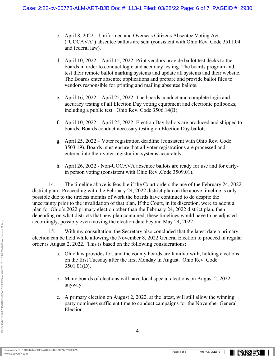- c. April 8, 2022 Uniformed and Overseas Citizens Absentee Voting Act ("UOCAVA") absentee ballots are sent (consistent with Ohio Rev. Code 3511.04 and federal law).
- d. April 10, 2022 April 15, 2022: Print vendors provide ballot test decks to the boards in order to conduct logic and accuracy testing. The boards program and test their remote ballot marking systems and update all systems and their website. The Boards enter absentee applications and prepare and provide ballot files to vendors responsible for printing and mailing absentee ballots.
- e. April 16, 2022 April 25, 2022: The boards conduct and complete logic and accuracy testing of all Election Day voting equipment and electronic pollbooks, including a public test. Ohio Rev. Code 3506.14(B).
- f. April 10, 2022 April 25, 2022: Election Day ballots are produced and shipped to boards. Boards conduct necessary testing on Election Day ballots.
- g. April 25, 2022 Voter registration deadline (consistent with Ohio Rev. Code 3503.19). Boards must ensure that all voter registrations are processed and entered into their voter registration systems accurately.
- h. April 26, 2022 Non-UOCAVA absentee ballots are ready for use and for earlyin person voting (consistent with Ohio Rev .Code 3509.01).

 14. The timeline above is feasible if the Court orders the use of the February 24, 2022 district plan. Proceeding with the February 24, 2022 district plan on the above timeline is only possible due to the tireless months of work the boards have continued to do despite the uncertainty prior to the invalidation of that plan. If the Court, in its discretion, were to adopt a plan for Ohio's 2022 primary election other than the February 24, 2022 district plan, then depending on what districts that new plan contained, these timelines would have to be adjusted accordingly, possibly even moving the election date beyond May 24, 2022.

 15. With my consultation, the Secretary also concluded that the latest date a primary election can be held while allowing the November 8, 2022 General Election to proceed in regular order is August 2, 2022. This is based on the following considerations:

- a. Ohio law provides for, and the county boards are familiar with, holding elections on the first Tuesday after the first Monday in August. Ohio Rev. Code 3501.01(D).
- b. Many boards of elections will have local special elections on August 2, 2022, anyway.
- c. A primary election on August 2, 2022, at the latest, will still allow the winning party nominees sufficient time to conduct campaigns for the November General Election.